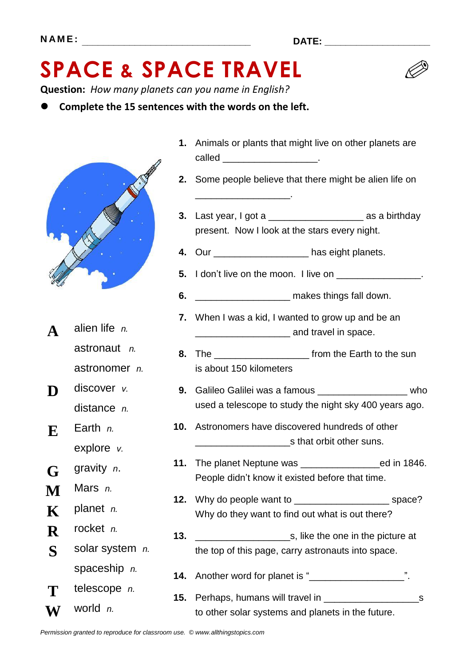

**Complete the 15 sentences with the words on the left.**



- **9.** Galileo Galilei was a famous \_\_\_\_\_\_\_\_\_\_\_\_\_\_\_\_\_ who used a telescope to study the night sky 400 years ago.
- **11.** The planet Neptune was \_\_\_\_\_\_\_\_\_\_\_\_\_\_\_ed in 1846.

to other solar systems and planets in the future.



- **A** alien life *n.*
- 
- **E** Earth *n.*
- **G** gravity *n*.
- **M** Mars *n.*
- 
- 
- **S**
-